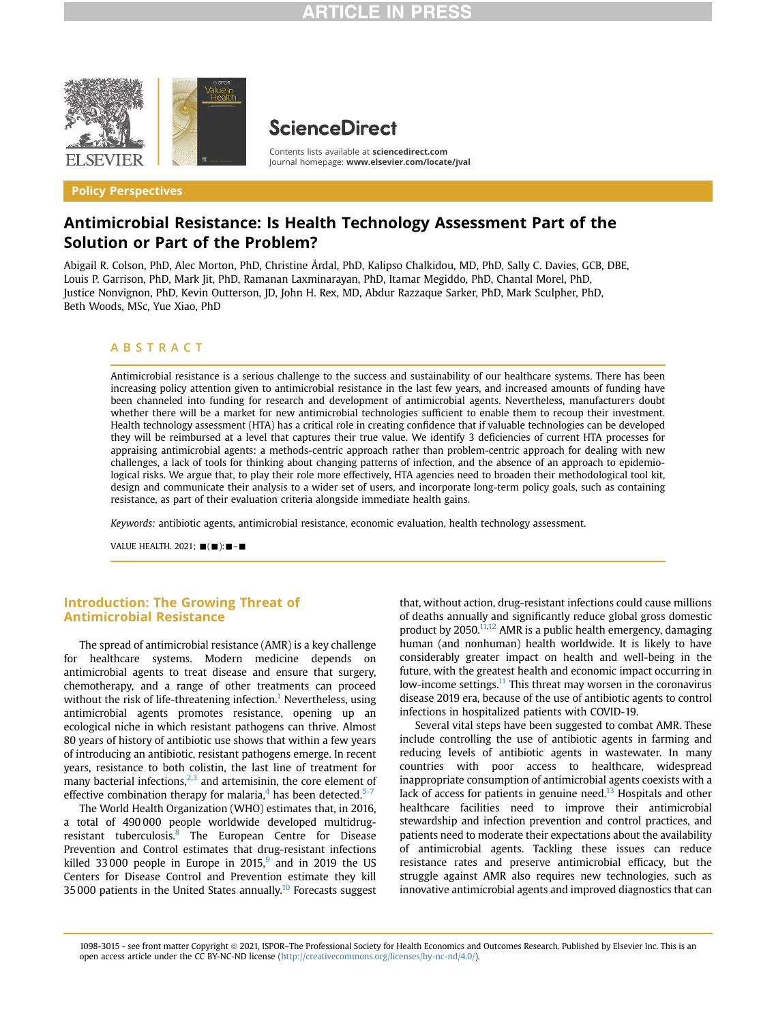

Policy Perspectives

# **ScienceDirect**

Contents lists available at [sciencedirect.com](www.sciencedirect.com) Journal homepage: <www.elsevier.com/locate/jval>

# Antimicrobial Resistance: Is Health Technology Assessment Part of the Solution or Part of the Problem?

Abigail R. Colson, PhD, Alec Morton, PhD, Christine Årdal, PhD, Kalipso Chalkidou, MD, PhD, Sally C. Davies, GCB, DBE, Louis P. Garrison, PhD, Mark Jit, PhD, Ramanan Laxminarayan, PhD, Itamar Megiddo, PhD, Chantal Morel, PhD, Justice Nonvignon, PhD, Kevin Outterson, JD, John H. Rex, MD, Abdur Razzaque Sarker, PhD, Mark Sculpher, PhD, Beth Woods, MSc, Yue Xiao, PhD

# ABSTRACT

Antimicrobial resistance is a serious challenge to the success and sustainability of our healthcare systems. There has been increasing policy attention given to antimicrobial resistance in the last few years, and increased amounts of funding have been channeled into funding for research and development of antimicrobial agents. Nevertheless, manufacturers doubt whether there will be a market for new antimicrobial technologies sufficient to enable them to recoup their investment. Health technology assessment (HTA) has a critical role in creating confidence that if valuable technologies can be developed they will be reimbursed at a level that captures their true value. We identify 3 deficiencies of current HTA processes for appraising antimicrobial agents: a methods-centric approach rather than problem-centric approach for dealing with new challenges, a lack of tools for thinking about changing patterns of infection, and the absence of an approach to epidemiological risks. We argue that, to play their role more effectively, HTA agencies need to broaden their methodological tool kit, design and communicate their analysis to a wider set of users, and incorporate long-term policy goals, such as containing resistance, as part of their evaluation criteria alongside immediate health gains.

Keywords: antibiotic agents, antimicrobial resistance, economic evaluation, health technology assessment.

VALUE HEALTH, 2021;  $\blacksquare(\blacksquare)$ :  $\blacksquare-\blacksquare$ 

# Introduction: The Growing Threat of Antimicrobial Resistance

The spread of antimicrobial resistance (AMR) is a key challenge for healthcare systems. Modern medicine depends on antimicrobial agents to treat disease and ensure that surgery, chemotherapy, and a range of other treatments can proceed without the risk of life-threatening infection.<sup>1</sup> Nevertheless, using antimicrobial agents promotes resistance, opening up an ecological niche in which resistant pathogens can thrive. Almost 80 years of history of antibiotic use shows that within a few years of introducing an antibiotic, resistant pathogens emerge. In recent years, resistance to both colistin, the last line of treatment for many bacterial infections, $2,3$  $2,3$  $2,3$  and artemisinin, the core element of effective combination therapy for malaria, $4$  has been detected. $5-7$ 

The World Health Organization (WHO) estimates that, in 2016, a total of 490 000 people worldwide developed multidrugresistant tuberculosis.<sup>8</sup> The European Centre for Disease Prevention and Control estimates that drug-resistant infections killed 33000 people in Europe in 2015, $9$  and in 2019 the US Centers for Disease Control and Prevention estimate they kill 35 000 patients in the United States annually.<sup>10</sup> Forecasts suggest that, without action, drug-resistant infections could cause millions of deaths annually and significantly reduce global gross domestic product by  $2050$ <sup>11,[12](#page-5-4)</sup> AMR is a public health emergency, damaging human (and nonhuman) health worldwide. It is likely to have considerably greater impact on health and well-being in the future, with the greatest health and economic impact occurring in low-income settings.<sup>[11](#page-5-3)</sup> This threat may worsen in the coronavirus disease 2019 era, because of the use of antibiotic agents to control infections in hospitalized patients with COVID-19.

Several vital steps have been suggested to combat AMR. These include controlling the use of antibiotic agents in farming and reducing levels of antibiotic agents in wastewater. In many countries with poor access to healthcare, widespread inappropriate consumption of antimicrobial agents coexists with a lack of access for patients in genuine need. $13$  Hospitals and other healthcare facilities need to improve their antimicrobial stewardship and infection prevention and control practices, and patients need to moderate their expectations about the availability of antimicrobial agents. Tackling these issues can reduce resistance rates and preserve antimicrobial efficacy, but the struggle against AMR also requires new technologies, such as innovative antimicrobial agents and improved diagnostics that can

<sup>1098-3015 -</sup> see front matter Copyright @ 2021, ISPOR–The Professional Society for Health Economics and Outcomes Research. Published by Elsevier Inc. This is an open access article under the CC BY-NC-ND license [\(http://creativecommons.org/licenses/by-nc-nd/4.0/\)](http://creativecommons.org/licenses/by-nc-nd/4.0/).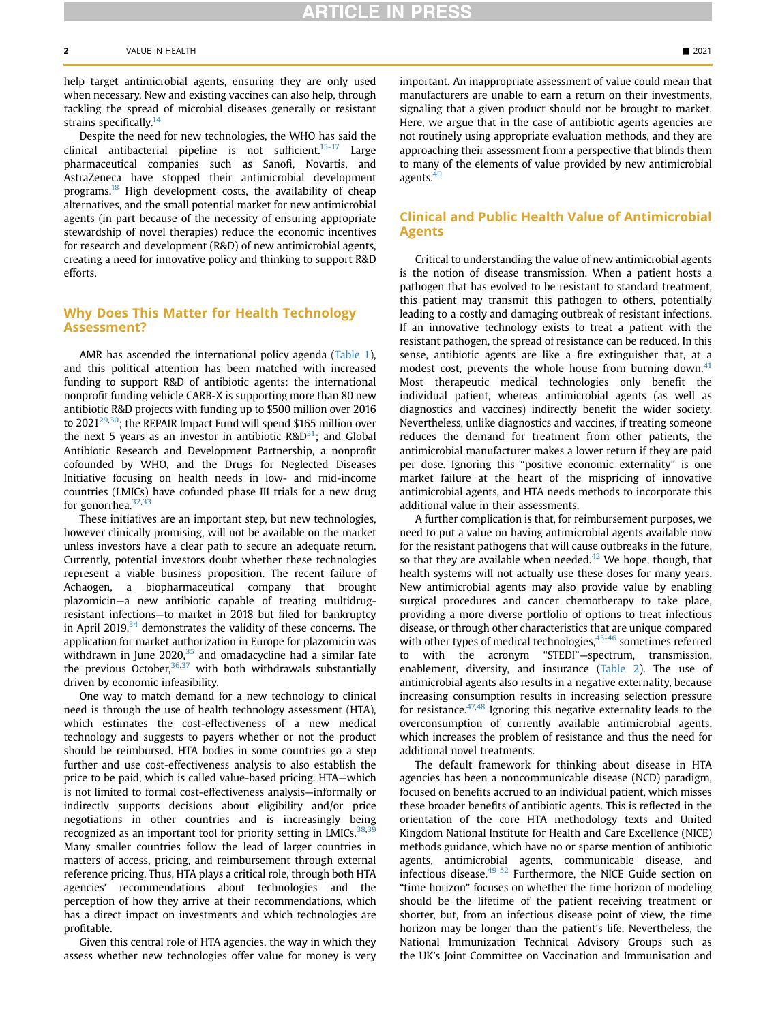help target antimicrobial agents, ensuring they are only used when necessary. New and existing vaccines can also help, through tackling the spread of microbial diseases generally or resistant strains specifically. $14$ 

Despite the need for new technologies, the WHO has said the clinical antibacterial pipeline is not sufficient.<sup>15-17</sup> Large pharmaceutical companies such as Sanofi, Novartis, and AstraZeneca have stopped their antimicrobial development programs.<sup>18</sup> High development costs, the availability of cheap alternatives, and the small potential market for new antimicrobial agents (in part because of the necessity of ensuring appropriate stewardship of novel therapies) reduce the economic incentives for research and development (R&D) of new antimicrobial agents, creating a need for innovative policy and thinking to support R&D efforts.

# Why Does This Matter for Health Technology Assessment?

AMR has ascended the international policy agenda [\(Table 1](#page-2-0)), and this political attention has been matched with increased funding to support R&D of antibiotic agents: the international nonprofit funding vehicle CARB-X is supporting more than 80 new antibiotic R&D projects with funding up to \$500 million over 2016 to 2021 $29,30$ ; the REPAIR Impact Fund will spend \$165 million over the next 5 years as an investor in antibiotic  $R&D^{31}$  $R&D^{31}$  $R&D^{31}$ ; and Global Antibiotic Research and Development Partnership, a nonprofit cofounded by WHO, and the Drugs for Neglected Diseases Initiative focusing on health needs in low- and mid-income countries (LMICs) have cofunded phase III trials for a new drug for gonorrhea.<sup>[32,](#page-5-12)[33](#page-5-13)</sup>

These initiatives are an important step, but new technologies, however clinically promising, will not be available on the market unless investors have a clear path to secure an adequate return. Currently, potential investors doubt whether these technologies represent a viable business proposition. The recent failure of Achaogen, a biopharmaceutical company that brought plazomicin—a new antibiotic capable of treating multidrugresistant infections—to market in 2018 but filed for bankruptcy in April 2019, $34$  demonstrates the validity of these concerns. The application for market authorization in Europe for plazomicin was withdrawn in June  $2020$ ,<sup>35</sup> and omadacycline had a similar fate the previous October,  $36,37$  $36,37$  with both withdrawals substantially driven by economic infeasibility.

One way to match demand for a new technology to clinical need is through the use of health technology assessment (HTA), which estimates the cost-effectiveness of a new medical technology and suggests to payers whether or not the product should be reimbursed. HTA bodies in some countries go a step further and use cost-effectiveness analysis to also establish the price to be paid, which is called value-based pricing. HTA—which is not limited to formal cost-effectiveness analysis—informally or indirectly supports decisions about eligibility and/or price negotiations in other countries and is increasingly being recognized as an important tool for priority setting in LMICs.<sup>[38,](#page-5-18)3</sup> Many smaller countries follow the lead of larger countries in matters of access, pricing, and reimbursement through external reference pricing. Thus, HTA plays a critical role, through both HTA agencies' recommendations about technologies and the perception of how they arrive at their recommendations, which has a direct impact on investments and which technologies are profitable.

Given this central role of HTA agencies, the way in which they assess whether new technologies offer value for money is very important. An inappropriate assessment of value could mean that manufacturers are unable to earn a return on their investments, signaling that a given product should not be brought to market. Here, we argue that in the case of antibiotic agents agencies are not routinely using appropriate evaluation methods, and they are approaching their assessment from a perspective that blinds them to many of the elements of value provided by new antimicrobial agents[.40](#page-5-20)

# Clinical and Public Health Value of Antimicrobial Agents

Critical to understanding the value of new antimicrobial agents is the notion of disease transmission. When a patient hosts a pathogen that has evolved to be resistant to standard treatment, this patient may transmit this pathogen to others, potentially leading to a costly and damaging outbreak of resistant infections. If an innovative technology exists to treat a patient with the resistant pathogen, the spread of resistance can be reduced. In this sense, antibiotic agents are like a fire extinguisher that, at a modest cost, prevents the whole house from burning down.<sup>41</sup> Most therapeutic medical technologies only benefit the individual patient, whereas antimicrobial agents (as well as diagnostics and vaccines) indirectly benefit the wider society. Nevertheless, unlike diagnostics and vaccines, if treating someone reduces the demand for treatment from other patients, the antimicrobial manufacturer makes a lower return if they are paid per dose. Ignoring this "positive economic externality" is one market failure at the heart of the mispricing of innovative antimicrobial agents, and HTA needs methods to incorporate this additional value in their assessments.

A further complication is that, for reimbursement purposes, we need to put a value on having antimicrobial agents available now for the resistant pathogens that will cause outbreaks in the future, so that they are available when needed. $42$  We hope, though, that health systems will not actually use these doses for many years. New antimicrobial agents may also provide value by enabling surgical procedures and cancer chemotherapy to take place, providing a more diverse portfolio of options to treat infectious disease, or through other characteristics that are unique compared with other types of medical technologies,  $43-46$  sometimes referred to with the acronym "STEDI"—spectrum, transmission, enablement, diversity, and insurance ([Table 2](#page-3-0)). The use of antimicrobial agents also results in a negative externality, because increasing consumption results in increasing selection pressure for resistance.<sup>47,[48](#page-5-25)</sup> Ignoring this negative externality leads to the overconsumption of currently available antimicrobial agents, which increases the problem of resistance and thus the need for additional novel treatments.

The default framework for thinking about disease in HTA agencies has been a noncommunicable disease (NCD) paradigm, focused on benefits accrued to an individual patient, which misses these broader benefits of antibiotic agents. This is reflected in the orientation of the core HTA methodology texts and United Kingdom National Institute for Health and Care Excellence (NICE) methods guidance, which have no or sparse mention of antibiotic agents, antimicrobial agents, communicable disease, and infectious disease.<sup>49-52</sup> Furthermore, the NICE Guide section on "time horizon" focuses on whether the time horizon of modeling should be the lifetime of the patient receiving treatment or shorter, but, from an infectious disease point of view, the time horizon may be longer than the patient's life. Nevertheless, the National Immunization Technical Advisory Groups such as the UK's Joint Committee on Vaccination and Immunisation and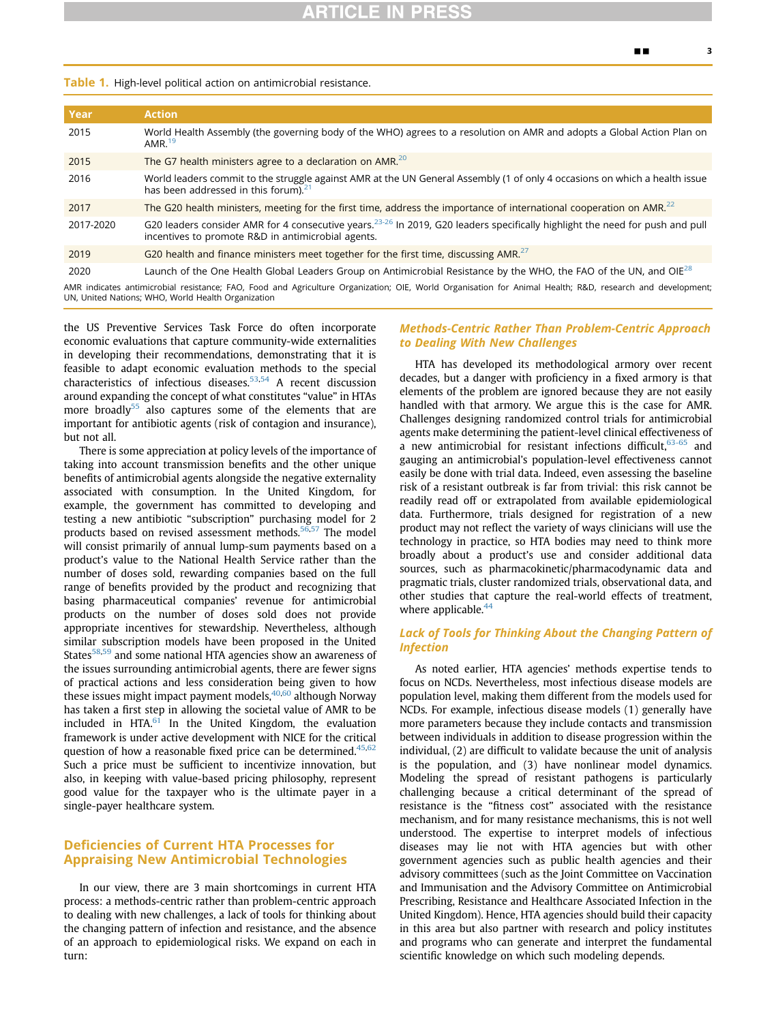#### <span id="page-2-0"></span>Table 1. High-level political action on antimicrobial resistance.

| Year                                                                                                                                                      | <b>Action</b>                                                                                                                                                                                   |  |
|-----------------------------------------------------------------------------------------------------------------------------------------------------------|-------------------------------------------------------------------------------------------------------------------------------------------------------------------------------------------------|--|
| 2015                                                                                                                                                      | World Health Assembly (the governing body of the WHO) agrees to a resolution on AMR and adopts a Global Action Plan on<br>AMR. $^{19}$                                                          |  |
| 2015                                                                                                                                                      | The G7 health ministers agree to a declaration on AMR. <sup>20</sup>                                                                                                                            |  |
| 2016                                                                                                                                                      | World leaders commit to the struggle against AMR at the UN General Assembly (1 of only 4 occasions on which a health issue<br>has been addressed in this forum). <sup>21</sup>                  |  |
| 2017                                                                                                                                                      | The G20 health ministers, meeting for the first time, address the importance of international cooperation on AMR. <sup>22</sup>                                                                 |  |
| 2017-2020                                                                                                                                                 | G20 leaders consider AMR for 4 consecutive years. <sup>23-26</sup> In 2019, G20 leaders specifically highlight the need for push and pull<br>incentives to promote R&D in antimicrobial agents. |  |
| 2019                                                                                                                                                      | G20 health and finance ministers meet together for the first time, discussing AMR. $27$                                                                                                         |  |
| 2020                                                                                                                                                      | Launch of the One Health Global Leaders Group on Antimicrobial Resistance by the WHO, the FAO of the UN, and OIE <sup>28</sup>                                                                  |  |
| AMR indicates antimicrobial resistance; FAO, Food and Agriculture Organization; OIE, World Organisation for Animal Health; R&D, research and development; |                                                                                                                                                                                                 |  |

UN, United Nations; WHO, World Health Organization

the US Preventive Services Task Force do often incorporate economic evaluations that capture community-wide externalities in developing their recommendations, demonstrating that it is feasible to adapt economic evaluation methods to the special characteristics of infectious diseases.<sup>53[,54](#page-5-28)</sup> A recent discussion around expanding the concept of what constitutes "value" in HTAs more broadly<sup>55</sup> also captures some of the elements that are important for antibiotic agents (risk of contagion and insurance), but not all.

There is some appreciation at policy levels of the importance of taking into account transmission benefits and the other unique benefits of antimicrobial agents alongside the negative externality associated with consumption. In the United Kingdom, for example, the government has committed to developing and testing a new antibiotic "subscription" purchasing model for 2 products based on revised assessment methods.<sup>[56,](#page-5-30)[57](#page-5-31)</sup> The model will consist primarily of annual lump-sum payments based on a product's value to the National Health Service rather than the number of doses sold, rewarding companies based on the full range of benefits provided by the product and recognizing that basing pharmaceutical companies' revenue for antimicrobial products on the number of doses sold does not provide appropriate incentives for stewardship. Nevertheless, although similar subscription models have been proposed in the United States $58,59$  $58,59$  and some national HTA agencies show an awareness of the issues surrounding antimicrobial agents, there are fewer signs of practical actions and less consideration being given to how these issues might impact payment models, $40,60$  $40,60$  although Norway has taken a first step in allowing the societal value of AMR to be included in HTA. $^{61}$  $^{61}$  $^{61}$  In the United Kingdom, the evaluation framework is under active development with NICE for the critical question of how a reasonable fixed price can be determined. $45,62$  $45,62$ Such a price must be sufficient to incentivize innovation, but also, in keeping with value-based pricing philosophy, represent good value for the taxpayer who is the ultimate payer in a single-payer healthcare system.

# Deficiencies of Current HTA Processes for Appraising New Antimicrobial Technologies

In our view, there are 3 main shortcomings in current HTA process: a methods-centric rather than problem-centric approach to dealing with new challenges, a lack of tools for thinking about the changing pattern of infection and resistance, and the absence of an approach to epidemiological risks. We expand on each in turn:

### Methods-Centric Rather Than Problem-Centric Approach to Dealing With New Challenges

HTA has developed its methodological armory over recent decades, but a danger with proficiency in a fixed armory is that elements of the problem are ignored because they are not easily handled with that armory. We argue this is the case for AMR. Challenges designing randomized control trials for antimicrobial agents make determining the patient-level clinical effectiveness of a new antimicrobial for resistant infections difficult,  $63-65$  and gauging an antimicrobial's population-level effectiveness cannot easily be done with trial data. Indeed, even assessing the baseline risk of a resistant outbreak is far from trivial: this risk cannot be readily read off or extrapolated from available epidemiological data. Furthermore, trials designed for registration of a new product may not reflect the variety of ways clinicians will use the technology in practice, so HTA bodies may need to think more broadly about a product's use and consider additional data sources, such as pharmacokinetic/pharmacodynamic data and pragmatic trials, cluster randomized trials, observational data, and other studies that capture the real-world effects of treatment, where applicable.<sup>44</sup>

# Lack of Tools for Thinking About the Changing Pattern of **Infection**

As noted earlier, HTA agencies' methods expertise tends to focus on NCDs. Nevertheless, most infectious disease models are population level, making them different from the models used for NCDs. For example, infectious disease models (1) generally have more parameters because they include contacts and transmission between individuals in addition to disease progression within the individual, (2) are difficult to validate because the unit of analysis is the population, and (3) have nonlinear model dynamics. Modeling the spread of resistant pathogens is particularly challenging because a critical determinant of the spread of resistance is the "fitness cost" associated with the resistance mechanism, and for many resistance mechanisms, this is not well understood. The expertise to interpret models of infectious diseases may lie not with HTA agencies but with other government agencies such as public health agencies and their advisory committees (such as the Joint Committee on Vaccination and Immunisation and the Advisory Committee on Antimicrobial Prescribing, Resistance and Healthcare Associated Infection in the United Kingdom). Hence, HTA agencies should build their capacity in this area but also partner with research and policy institutes and programs who can generate and interpret the fundamental scientific knowledge on which such modeling depends.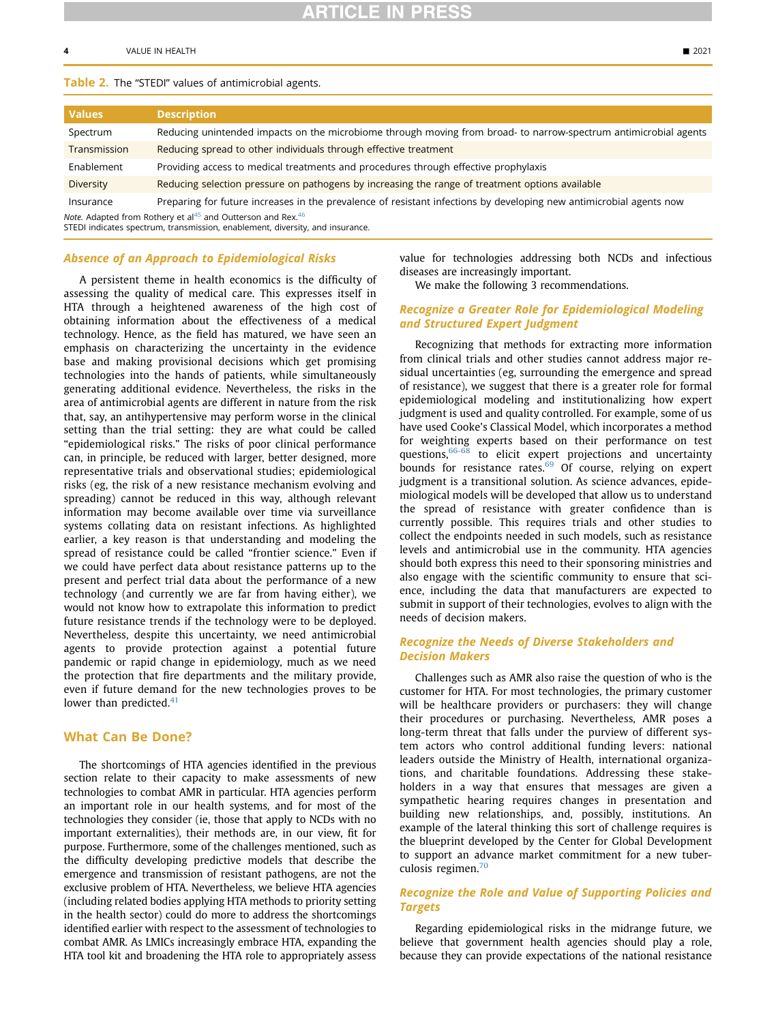# <span id="page-3-0"></span>Table 2. The "STEDI" values of antimicrobial agents.

| <b>Values</b> | <b>Description</b>                                                                                                  |
|---------------|---------------------------------------------------------------------------------------------------------------------|
| Spectrum      | Reducing unintended impacts on the microbiome through moving from broad- to narrow-spectrum antimicrobial agents    |
| Transmission  | Reducing spread to other individuals through effective treatment                                                    |
| Enablement    | Providing access to medical treatments and procedures through effective prophylaxis                                 |
| Diversity     | Reducing selection pressure on pathogens by increasing the range of treatment options available                     |
| Insurance     | Preparing for future increases in the prevalence of resistant infections by developing new antimicrobial agents now |
|               |                                                                                                                     |

Note. Adapted from Rothery et al<sup>[45](#page-5-32)</sup> and Outterson and Rex.<sup>46</sup>

STEDI indicates spectrum, transmission, enablement, diversity, and insurance.

#### Absence of an Approach to Epidemiological Risks

A persistent theme in health economics is the difficulty of assessing the quality of medical care. This expresses itself in HTA through a heightened awareness of the high cost of obtaining information about the effectiveness of a medical technology. Hence, as the field has matured, we have seen an emphasis on characterizing the uncertainty in the evidence base and making provisional decisions which get promising technologies into the hands of patients, while simultaneously generating additional evidence. Nevertheless, the risks in the area of antimicrobial agents are different in nature from the risk that, say, an antihypertensive may perform worse in the clinical setting than the trial setting: they are what could be called "epidemiological risks." The risks of poor clinical performance can, in principle, be reduced with larger, better designed, more representative trials and observational studies; epidemiological risks (eg, the risk of a new resistance mechanism evolving and spreading) cannot be reduced in this way, although relevant information may become available over time via surveillance systems collating data on resistant infections. As highlighted earlier, a key reason is that understanding and modeling the spread of resistance could be called "frontier science." Even if we could have perfect data about resistance patterns up to the present and perfect trial data about the performance of a new technology (and currently we are far from having either), we would not know how to extrapolate this information to predict future resistance trends if the technology were to be deployed. Nevertheless, despite this uncertainty, we need antimicrobial agents to provide protection against a potential future pandemic or rapid change in epidemiology, much as we need the protection that fire departments and the military provide, even if future demand for the new technologies proves to be lower than predicted. $41$ 

### What Can Be Done?

The shortcomings of HTA agencies identified in the previous section relate to their capacity to make assessments of new technologies to combat AMR in particular. HTA agencies perform an important role in our health systems, and for most of the technologies they consider (ie, those that apply to NCDs with no important externalities), their methods are, in our view, fit for purpose. Furthermore, some of the challenges mentioned, such as the difficulty developing predictive models that describe the emergence and transmission of resistant pathogens, are not the exclusive problem of HTA. Nevertheless, we believe HTA agencies (including related bodies applying HTA methods to priority setting in the health sector) could do more to address the shortcomings identified earlier with respect to the assessment of technologies to combat AMR. As LMICs increasingly embrace HTA, expanding the HTA tool kit and broadening the HTA role to appropriately assess

value for technologies addressing both NCDs and infectious diseases are increasingly important.

We make the following 3 recommendations.

# Recognize a Greater Role for Epidemiological Modeling and Structured Expert Judgment

Recognizing that methods for extracting more information from clinical trials and other studies cannot address major residual uncertainties (eg, surrounding the emergence and spread of resistance), we suggest that there is a greater role for formal epidemiological modeling and institutionalizing how expert judgment is used and quality controlled. For example, some of us have used Cooke's Classical Model, which incorporates a method for weighting experts based on their performance on test questions,  $66-68$  to elicit expert projections and uncertainty bounds for resistance rates.<sup>[69](#page-6-7)</sup> Of course, relying on expert judgment is a transitional solution. As science advances, epidemiological models will be developed that allow us to understand the spread of resistance with greater confidence than is currently possible. This requires trials and other studies to collect the endpoints needed in such models, such as resistance levels and antimicrobial use in the community. HTA agencies should both express this need to their sponsoring ministries and also engage with the scientific community to ensure that science, including the data that manufacturers are expected to submit in support of their technologies, evolves to align with the needs of decision makers.

## Recognize the Needs of Diverse Stakeholders and Decision Makers

Challenges such as AMR also raise the question of who is the customer for HTA. For most technologies, the primary customer will be healthcare providers or purchasers: they will change their procedures or purchasing. Nevertheless, AMR poses a long-term threat that falls under the purview of different system actors who control additional funding levers: national leaders outside the Ministry of Health, international organizations, and charitable foundations. Addressing these stakeholders in a way that ensures that messages are given a sympathetic hearing requires changes in presentation and building new relationships, and, possibly, institutions. An example of the lateral thinking this sort of challenge requires is the blueprint developed by the Center for Global Development to support an advance market commitment for a new tuber-culosis regimen.<sup>[70](#page-6-8)</sup>

# Recognize the Role and Value of Supporting Policies and **Targets**

Regarding epidemiological risks in the midrange future, we believe that government health agencies should play a role, because they can provide expectations of the national resistance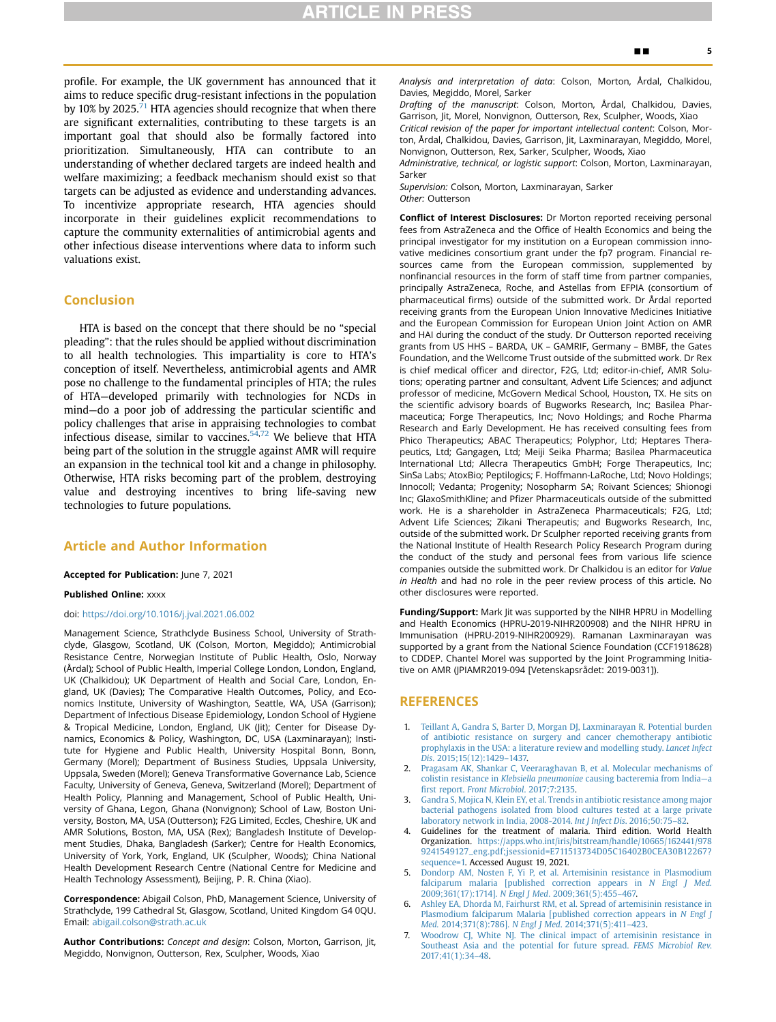profile. For example, the UK government has announced that it aims to reduce specific drug-resistant infections in the population by 10% by 2025.<sup> $/1$ </sup> HTA agencies should recognize that when there are significant externalities, contributing to these targets is an important goal that should also be formally factored into prioritization. Simultaneously, HTA can contribute to an understanding of whether declared targets are indeed health and welfare maximizing; a feedback mechanism should exist so that targets can be adjusted as evidence and understanding advances. To incentivize appropriate research, HTA agencies should incorporate in their guidelines explicit recommendations to capture the community externalities of antimicrobial agents and other infectious disease interventions where data to inform such valuations exist.

# Conclusion

HTA is based on the concept that there should be no "special pleading": that the rules should be applied without discrimination to all health technologies. This impartiality is core to HTA's conception of itself. Nevertheless, antimicrobial agents and AMR pose no challenge to the fundamental principles of HTA; the rules of HTA—developed primarily with technologies for NCDs in mind—do a poor job of addressing the particular scientific and policy challenges that arise in appraising technologies to combat infectious disease, similar to vaccines. $54,72$  $54,72$  We believe that HTA being part of the solution in the struggle against AMR will require an expansion in the technical tool kit and a change in philosophy. Otherwise, HTA risks becoming part of the problem, destroying value and destroying incentives to bring life-saving new technologies to future populations.

#### Article and Author Information

#### Accepted for Publication: June 7, 2021

#### Published Online: xxxx

#### doi: [https://doi.org/10.1016/j.jval.2021.06.002](http://doi.org/https://doi.org/10.1016/j.jval.2021.06.002)

Management Science, Strathclyde Business School, University of Strathclyde, Glasgow, Scotland, UK (Colson, Morton, Megiddo); Antimicrobial Resistance Centre, Norwegian Institute of Public Health, Oslo, Norway (Årdal); School of Public Health, Imperial College London, London, England, UK (Chalkidou); UK Department of Health and Social Care, London, England, UK (Davies); The Comparative Health Outcomes, Policy, and Economics Institute, University of Washington, Seattle, WA, USA (Garrison); Department of Infectious Disease Epidemiology, London School of Hygiene & Tropical Medicine, London, England, UK (Jit); Center for Disease Dynamics, Economics & Policy, Washington, DC, USA (Laxminarayan); Institute for Hygiene and Public Health, University Hospital Bonn, Bonn, Germany (Morel); Department of Business Studies, Uppsala University, Uppsala, Sweden (Morel); Geneva Transformative Governance Lab, Science Faculty, University of Geneva, Geneva, Switzerland (Morel); Department of Health Policy, Planning and Management, School of Public Health, University of Ghana, Legon, Ghana (Nonvignon); School of Law, Boston University, Boston, MA, USA (Outterson); F2G Limited, Eccles, Cheshire, UK and AMR Solutions, Boston, MA, USA (Rex); Bangladesh Institute of Development Studies, Dhaka, Bangladesh (Sarker); Centre for Health Economics, University of York, York, England, UK (Sculpher, Woods); China National Health Development Research Centre (National Centre for Medicine and Health Technology Assessment), Beijing, P. R. China (Xiao).

Correspondence: Abigail Colson, PhD, Management Science, University of Strathclyde, 199 Cathedral St, Glasgow, Scotland, United Kingdom G4 0QU. Email: [abigail.colson@strath.ac.uk](mailto:abigail.colson@strath.ac.uk)

Author Contributions: Concept and design: Colson, Morton, Garrison, Jit, Megiddo, Nonvignon, Outterson, Rex, Sculpher, Woods, Xiao

Analysis and interpretation of data: Colson, Morton, Årdal, Chalkidou, Davies, Megiddo, Morel, Sarker

Drafting of the manuscript: Colson, Morton, Årdal, Chalkidou, Davies, Garrison, Jit, Morel, Nonvignon, Outterson, Rex, Sculpher, Woods, Xiao Critical revision of the paper for important intellectual content: Colson, Mor-

ton, Årdal, Chalkidou, Davies, Garrison, Jit, Laxminarayan, Megiddo, Morel, Nonvignon, Outterson, Rex, Sarker, Sculpher, Woods, Xiao

Administrative, technical, or logistic support: Colson, Morton, Laxminarayan, Sarker

Supervision: Colson, Morton, Laxminarayan, Sarker Other: Outterson

Conflict of Interest Disclosures: Dr Morton reported receiving personal fees from AstraZeneca and the Office of Health Economics and being the principal investigator for my institution on a European commission innovative medicines consortium grant under the fp7 program. Financial resources came from the European commission, supplemented by nonfinancial resources in the form of staff time from partner companies, principally AstraZeneca, Roche, and Astellas from EFPIA (consortium of pharmaceutical firms) outside of the submitted work. Dr Årdal reported receiving grants from the European Union Innovative Medicines Initiative and the European Commission for European Union Joint Action on AMR and HAI during the conduct of the study. Dr Outterson reported receiving grants from US HHS – BARDA, UK – GAMRIF, Germany – BMBF, the Gates Foundation, and the Wellcome Trust outside of the submitted work. Dr Rex is chief medical officer and director, F2G, Ltd; editor-in-chief, AMR Solutions; operating partner and consultant, Advent Life Sciences; and adjunct professor of medicine, McGovern Medical School, Houston, TX. He sits on the scientific advisory boards of Bugworks Research, Inc; Basilea Pharmaceutica; Forge Therapeutics, Inc; Novo Holdings; and Roche Pharma Research and Early Development. He has received consulting fees from Phico Therapeutics; ABAC Therapeutics; Polyphor, Ltd; Heptares Therapeutics, Ltd; Gangagen, Ltd; Meiji Seika Pharma; Basilea Pharmaceutica International Ltd; Allecra Therapeutics GmbH; Forge Therapeutics, Inc; SinSa Labs; AtoxBio; Peptilogics; F. Hoffmann-LaRoche, Ltd; Novo Holdings; Innocoll; Vedanta; Progenity; Nosopharm SA; Roivant Sciences; Shionogi Inc; GlaxoSmithKline; and Pfizer Pharmaceuticals outside of the submitted work. He is a shareholder in AstraZeneca Pharmaceuticals; F2G, Ltd; Advent Life Sciences; Zikani Therapeutis; and Bugworks Research, Inc, outside of the submitted work. Dr Sculpher reported receiving grants from the National Institute of Health Research Policy Research Program during the conduct of the study and personal fees from various life science companies outside the submitted work. Dr Chalkidou is an editor for Value in Health and had no role in the peer review process of this article. No other disclosures were reported.

Funding/Support: Mark Jit was supported by the NIHR HPRU in Modelling and Health Economics (HPRU-2019-NIHR200908) and the NIHR HPRU in Immunisation (HPRU-2019-NIHR200929). Ramanan Laxminarayan was supported by a grant from the National Science Foundation (CCF1918628) to CDDEP. Chantel Morel was supported by the Joint Programming Initiative on AMR (JPIAMR2019-094 [Vetenskapsrådet: 2019-0031]).

# **REFERENCES**

- <span id="page-4-0"></span>1. [Teillant A, Gandra S, Barter D, Morgan DJ, Laxminarayan R. Potential burden](http://refhub.elsevier.com/S1098-3015(21)01590-4/sref1) [of antibiotic resistance on surgery and cancer chemotherapy antibiotic](http://refhub.elsevier.com/S1098-3015(21)01590-4/sref1) [prophylaxis in the USA: a literature review and modelling study.](http://refhub.elsevier.com/S1098-3015(21)01590-4/sref1) Lancet Infect Dis[. 2015;15\(12\):1429](http://refhub.elsevier.com/S1098-3015(21)01590-4/sref1)–1437.
- <span id="page-4-1"></span>2. [Pragasam AK, Shankar C, Veeraraghavan B, et al. Molecular mechanisms of](http://refhub.elsevier.com/S1098-3015(21)01590-4/sref2) colistin resistance in Klebsiella pneumoniae [causing bacteremia from India](http://refhub.elsevier.com/S1098-3015(21)01590-4/sref2)—a first report. [Front Microbiol](http://refhub.elsevier.com/S1098-3015(21)01590-4/sref2). 2017;7:2135.
- <span id="page-4-2"></span>3. [Gandra S, Mojica N, Klein EY, et al. Trends in antibiotic resistance among major](http://refhub.elsevier.com/S1098-3015(21)01590-4/sref3) [bacterial pathogens isolated from blood cultures tested at a large private](http://refhub.elsevier.com/S1098-3015(21)01590-4/sref3) [laboratory network in India, 2008-2014.](http://refhub.elsevier.com/S1098-3015(21)01590-4/sref3) Int J Infect Dis. 2016;50:75–82.
- <span id="page-4-3"></span>Guidelines for the treatment of malaria. Third edition. World Health Organization. [https://apps.who.int/iris/bitstream/handle/10665/162441/978](https://apps.who.int/iris/bitstream/handle/10665/162441/9789241549127_eng.pdf;jsessionid=E711513734D05C16402B0CEA30B12267?sequence=1) [9241549127\\_eng.pdf;jsessionid=E711513734D05C16402B0CEA30B12267?](https://apps.who.int/iris/bitstream/handle/10665/162441/9789241549127_eng.pdf;jsessionid=E711513734D05C16402B0CEA30B12267?sequence=1) [sequence=1.](https://apps.who.int/iris/bitstream/handle/10665/162441/9789241549127_eng.pdf;jsessionid=E711513734D05C16402B0CEA30B12267?sequence=1) Accessed August 19, 2021.
- <span id="page-4-4"></span>5. [Dondorp AM, Nosten F, Yi P, et al. Artemisinin resistance in Plasmodium](http://refhub.elsevier.com/S1098-3015(21)01590-4/sref5) [falciparum malaria \[published correction appears in](http://refhub.elsevier.com/S1098-3015(21)01590-4/sref5) N Engl J Med. [2009;361\(17\):1714\].](http://refhub.elsevier.com/S1098-3015(21)01590-4/sref5) N Engl J Med. 2009;361(5):455–467.
- 6. [Ashley EA, Dhorda M, Fairhurst RM, et al. Spread of artemisinin resistance in](http://refhub.elsevier.com/S1098-3015(21)01590-4/sref6) [Plasmodium falciparum Malaria \[published correction appears in](http://refhub.elsevier.com/S1098-3015(21)01590-4/sref6) N Engl J Med. [2014;371\(8\):786\].](http://refhub.elsevier.com/S1098-3015(21)01590-4/sref6) N Engl J Med. 2014;371(5):411–423.
- 7. [Woodrow CJ, White NJ. The clinical impact of artemisinin resistance in](http://refhub.elsevier.com/S1098-3015(21)01590-4/sref7) [Southeast Asia and the potential for future spread.](http://refhub.elsevier.com/S1098-3015(21)01590-4/sref7) FEMS Microbiol Rev. [2017;41\(1\):34](http://refhub.elsevier.com/S1098-3015(21)01590-4/sref7)–48.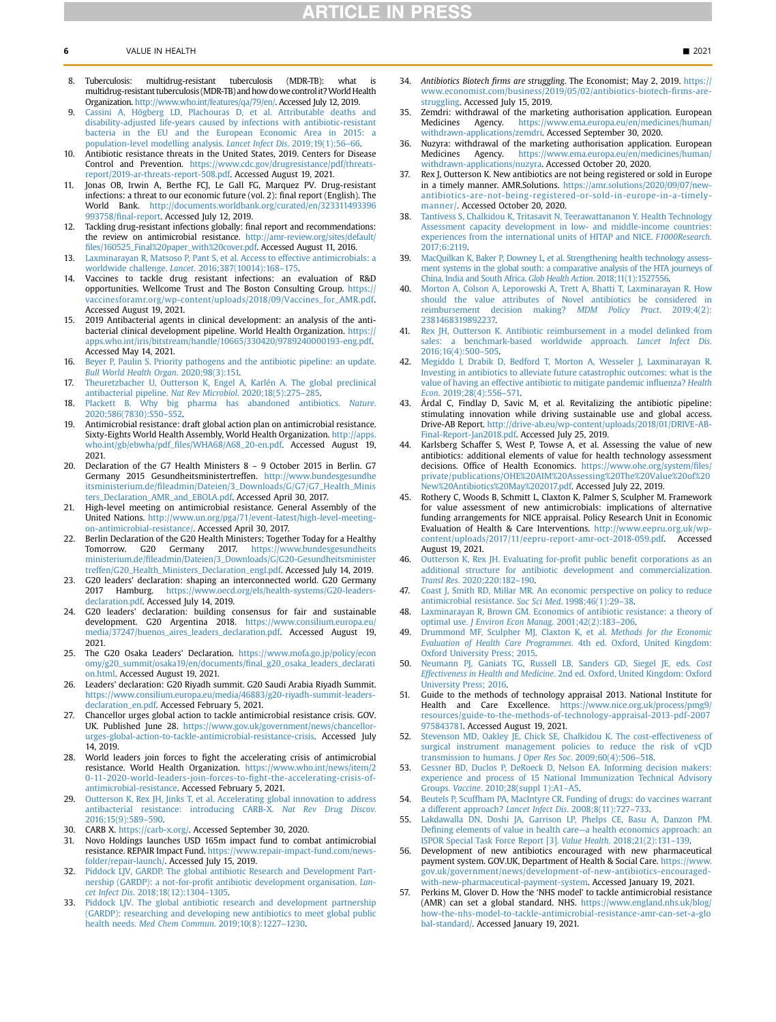- <span id="page-5-0"></span>8. Tuberculosis: multidrug-resistant tuberculosis (MDR-TB): what is multidrug-resistant tuberculosis (MDR-TB) and how dowe controlit?World Health Organization. [http://www.who.int/features/qa/79/en/.](http://www.who.int/features/qa/79/en/) Accessed July 12, 2019.
- <span id="page-5-1"></span>[Cassini A, Högberg LD, Plachouras D, et al. Attributable deaths and](http://refhub.elsevier.com/S1098-3015(21)01590-4/sref9) [disability-adjusted life-years caused by infections with antibiotic-resistant](http://refhub.elsevier.com/S1098-3015(21)01590-4/sref9) [bacteria in the EU and the European Economic Area in 2015: a](http://refhub.elsevier.com/S1098-3015(21)01590-4/sref9) [population-level modelling analysis.](http://refhub.elsevier.com/S1098-3015(21)01590-4/sref9) Lancet Infect Dis. 2019;19(1):56–66.
- <span id="page-5-2"></span>10. Antibiotic resistance threats in the United States, 2019. Centers for Disease Control and Prevention. [https://www.cdc.gov/drugresistance/pdf/threats](https://www.cdc.gov/drugresistance/pdf/threats-report/2019-ar-threats-report-508.pdf)[report/2019-ar-threats-report-508.pdf](https://www.cdc.gov/drugresistance/pdf/threats-report/2019-ar-threats-report-508.pdf). Accessed August 19, 2021.
- <span id="page-5-3"></span>11. Jonas OB, Irwin A, Berthe FCJ, Le Gall FG, Marquez PV. Drug-resistant infections: a threat to our economic future (vol. 2): final report (English). The World Bank. [http://documents.worldbank.org/curated/en/323311493396](http://documents.worldbank.org/curated/en/323311493396993758/final-report) 993758/fi[nal-report.](http://documents.worldbank.org/curated/en/323311493396993758/final-report) Accessed July 12, 2019.
- <span id="page-5-4"></span>12. Tackling drug-resistant infections globally: final report and recommendations: the review on antimicrobial resistance. [http://amr-review.org/sites/default/](http://amr-review.org/sites/default/files/160525_Final%20paper_with%20cover.pdf) fi[les/160525\\_Final%20paper\\_with%20cover.pdf](http://amr-review.org/sites/default/files/160525_Final%20paper_with%20cover.pdf). Accessed August 11, 2016.
- <span id="page-5-5"></span>13. [Laxminarayan R, Matsoso P, Pant S, et al. Access to effective antimicrobials: a](http://refhub.elsevier.com/S1098-3015(21)01590-4/sref13) worldwide challenge. Lancet[. 2016;387\(10014\):168](http://refhub.elsevier.com/S1098-3015(21)01590-4/sref13)–175.
- <span id="page-5-6"></span>14. Vaccines to tackle drug resistant infections: an evaluation of R&D opportunities. Wellcome Trust and The Boston Consulting Group. [https://](https://vaccinesforamr.org/wp-content/uploads/2018/09/Vaccines_for_AMR.pdf) [vaccinesforamr.org/wp-content/uploads/2018/09/Vaccines\\_for\\_AMR.pdf](https://vaccinesforamr.org/wp-content/uploads/2018/09/Vaccines_for_AMR.pdf). Accessed August 19, 2021.
- <span id="page-5-7"></span>2019 Antibacterial agents in clinical development: an analysis of the antibacterial clinical development pipeline. World Health Organization. [https://](https://apps.who.int/iris/bitstream/handle/10665/330420/9789240000193-eng.pdf) [apps.who.int/iris/bitstream/handle/10665/330420/9789240000193-eng.pdf](https://apps.who.int/iris/bitstream/handle/10665/330420/9789240000193-eng.pdf). Accessed May 14, 2021.
- 16. [Beyer P, Paulin S. Priority pathogens and the antibiotic pipeline: an update.](http://refhub.elsevier.com/S1098-3015(21)01590-4/sref16) [Bull World Health Organ](http://refhub.elsevier.com/S1098-3015(21)01590-4/sref16). 2020;98(3):151.
- 17. [Theuretzbacher U, Outterson K, Engel A, Karlén A. The global preclinical](http://refhub.elsevier.com/S1098-3015(21)01590-4/sref17) [antibacterial pipeline.](http://refhub.elsevier.com/S1098-3015(21)01590-4/sref17) Nat Rev Microbiol. 2020;18(5):275–285.
- <span id="page-5-8"></span>18. [Plackett B. Why big pharma has abandoned antibiotics.](http://refhub.elsevier.com/S1098-3015(21)01590-4/sref18) Nature. [2020;586\(7830\):S50](http://refhub.elsevier.com/S1098-3015(21)01590-4/sref18)–S52.
- <span id="page-5-34"></span>19. Antimicrobial resistance: draft global action plan on antimicrobial resistance. Sixty-Eights World Health Assembly, World Health Organization. [http://apps.](http://apps.who.int/gb/ebwha/pdf_files/WHA68/A68_20-en.pdf) who.int/gb/ebwha/pdf\_fi[les/WHA68/A68\\_20-en.pdf.](http://apps.who.int/gb/ebwha/pdf_files/WHA68/A68_20-en.pdf) Accessed August 19, 2021.
- <span id="page-5-35"></span>20. Declaration of the G7 Health Ministers 8 – 9 October 2015 in Berlin. G7 Germany 2015 Gesundheitsministertreffen. [http://www.bundesgesundhe](http://www.bundesgesundheitsministerium.de/fileadmin/Dateien/3_Downloads/G/G7/G7_Health_Ministers_Declaration_AMR_and_EBOLA.pdf) itsministerium.de/fi[leadmin/Dateien/3\\_Downloads/G/G7/G7\\_Health\\_Minis](http://www.bundesgesundheitsministerium.de/fileadmin/Dateien/3_Downloads/G/G7/G7_Health_Ministers_Declaration_AMR_and_EBOLA.pdf) [ters\\_Declaration\\_AMR\\_and\\_EBOLA.pdf.](http://www.bundesgesundheitsministerium.de/fileadmin/Dateien/3_Downloads/G/G7/G7_Health_Ministers_Declaration_AMR_and_EBOLA.pdf) Accessed April 30, 2017.
- <span id="page-5-36"></span>21. High-level meeting on antimicrobial resistance. General Assembly of the United Nations. [http://www.un.org/pga/71/event-latest/high-level-meeting](http://www.un.org/pga/71/event-latest/high-level-meeting-on-antimicrobial-resistance/)[on-antimicrobial-resistance/.](http://www.un.org/pga/71/event-latest/high-level-meeting-on-antimicrobial-resistance/) Accessed April 30, 2017.
- <span id="page-5-37"></span>22. Berlin Declaration of the G20 Health Ministers: Together Today for a Healthy Tomorrow. G20 Germany 2017. [https://www.bundesgesundheits](https://www.bundesgesundheitsministerium.de/fileadmin/Dateien/3_Downloads/G/G20-Gesundheitsministertreffen/G20_Health_Ministers_Declaration_engl.pdf) ministerium.de/fi[leadmin/Dateien/3\\_Downloads/G/G20-Gesundheitsminister](https://www.bundesgesundheitsministerium.de/fileadmin/Dateien/3_Downloads/G/G20-Gesundheitsministertreffen/G20_Health_Ministers_Declaration_engl.pdf) [treffen/G20\\_Health\\_Ministers\\_Declaration\\_engl.pdf](https://www.bundesgesundheitsministerium.de/fileadmin/Dateien/3_Downloads/G/G20-Gesundheitsministertreffen/G20_Health_Ministers_Declaration_engl.pdf). Accessed July 14, 2019.
- <span id="page-5-38"></span>23. G20 leaders' declaration: shaping an interconnected world. G20 Germany 2017 Hamburg. [https://www.oecd.org/els/health-systems/G20-leaders](https://www.oecd.org/els/health-systems/G20-leaders-declaration.pdf)[declaration.pdf](https://www.oecd.org/els/health-systems/G20-leaders-declaration.pdf). Accessed July 14, 2019.
- 24. G20 leaders' declaration: building consensus for fair and sustainable development. G20 Argentina 2018. [https://www.consilium.europa.eu/](https://www.consilium.europa.eu/media/37247/buenos_aires_leaders_declaration.pdf) [media/37247/buenos\\_aires\\_leaders\\_declaration.pdf](https://www.consilium.europa.eu/media/37247/buenos_aires_leaders_declaration.pdf). Accessed August 19, 2021.
- 25. The G20 Osaka Leaders' Declaration. [https://www.mofa.go.jp/policy/econ](https://www.mofa.go.jp/policy/economy/g20_summit/osaka19/en/documents/final_g20_osaka_leaders_declaration.html) [omy/g20\\_summit/osaka19/en/documents/](https://www.mofa.go.jp/policy/economy/g20_summit/osaka19/en/documents/final_g20_osaka_leaders_declaration.html)final\_g20\_osaka\_leaders\_declarati [on.html](https://www.mofa.go.jp/policy/economy/g20_summit/osaka19/en/documents/final_g20_osaka_leaders_declaration.html). Accessed August 19, 2021.
- 26. Leaders' declaration: G20 Riyadh summit. G20 Saudi Arabia Riyadh Summit. [https://www.consilium.europa.eu/media/46883/g20-riyadh-summit-leaders](https://www.consilium.europa.eu/media/46883/g20-riyadh-summit-leaders-declaration_en.pdf)[declaration\\_en.pdf](https://www.consilium.europa.eu/media/46883/g20-riyadh-summit-leaders-declaration_en.pdf). Accessed February 5, 2021.
- <span id="page-5-39"></span>27. Chancellor urges global action to tackle antimicrobial resistance crisis. GOV. UK. Published June 28. [https://www.gov.uk/government/news/chancellor](https://www.gov.uk/government/news/chancellor-urges-global-action-to-tackle-antimicrobial-resistance-crisis)[urges-global-action-to-tackle-antimicrobial-resistance-crisis.](https://www.gov.uk/government/news/chancellor-urges-global-action-to-tackle-antimicrobial-resistance-crisis) Accessed July 14, 2019.
- <span id="page-5-40"></span>28. World leaders join forces to fight the accelerating crisis of antimicrobial resistance. World Health Organization. [https://www.who.int/news/item/2](https://www.who.int/news/item/20-11-2020-world-leaders-join-forces-to-fight-the-accelerating-crisis-of-antimicrobial-resistance) [0-11-2020-world-leaders-join-forces-to-](https://www.who.int/news/item/20-11-2020-world-leaders-join-forces-to-fight-the-accelerating-crisis-of-antimicrobial-resistance)fight-the-accelerating-crisis-of[antimicrobial-resistance.](https://www.who.int/news/item/20-11-2020-world-leaders-join-forces-to-fight-the-accelerating-crisis-of-antimicrobial-resistance) Accessed February 5, 2021.
- <span id="page-5-9"></span>29. [Outterson K, Rex JH, Jinks T, et al. Accelerating global innovation to address](http://refhub.elsevier.com/S1098-3015(21)01590-4/sref29) [antibacterial resistance: introducing CARB-X.](http://refhub.elsevier.com/S1098-3015(21)01590-4/sref29) Nat Rev Drug Discov. [2016;15\(9\):589](http://refhub.elsevier.com/S1098-3015(21)01590-4/sref29)–590.
- <span id="page-5-10"></span>30. CARB X. <https://carb-x.org/>. Accessed September 30, 2020.
- <span id="page-5-11"></span>Novo Holdings launches USD 165m impact fund to combat antimicrobial resistance. REPAIR Impact Fund. [https://www.repair-impact-fund.com/news](https://www.repair-impact-fund.com/news-folder/repair-launch/)[folder/repair-launch/](https://www.repair-impact-fund.com/news-folder/repair-launch/). Accessed July 15, 2019.
- <span id="page-5-12"></span>32. [Piddock LJV, GARDP. The global antibiotic Research and Development Part](http://refhub.elsevier.com/S1098-3015(21)01590-4/sref32)nership (GARDP): a not-for-profi[t antibiotic development organisation.](http://refhub.elsevier.com/S1098-3015(21)01590-4/sref32) Lancet Infect Dis[. 2018;18\(12\):1304](http://refhub.elsevier.com/S1098-3015(21)01590-4/sref32)–1305.
- <span id="page-5-13"></span>33. [Piddock LJV. The global antibiotic research and development partnership](http://refhub.elsevier.com/S1098-3015(21)01590-4/sref33) [\(GARDP\): researching and developing new antibiotics to meet global public](http://refhub.elsevier.com/S1098-3015(21)01590-4/sref33) health needs. [Med Chem Commun](http://refhub.elsevier.com/S1098-3015(21)01590-4/sref33). 2019;10(8):1227–1230.
- <span id="page-5-14"></span>34. Antibiotics Biotech firms are struggling. The Economist; May 2, 2019. [https://](https://www.economist.com/business/2019/05/02/antibiotics-biotech-firms-are-struggling) [www.economist.com/business/2019/05/02/antibiotics-biotech-](https://www.economist.com/business/2019/05/02/antibiotics-biotech-firms-are-struggling)firms-are[struggling.](https://www.economist.com/business/2019/05/02/antibiotics-biotech-firms-are-struggling) Accessed July 15, 2019.
- <span id="page-5-15"></span>35. Zemdri: withdrawal of the marketing authorisation application. European Medicines Agency. [https://www.ema.europa.eu/en/medicines/human/](https://www.ema.europa.eu/en/medicines/human/withdrawn-applications/zemdri) [withdrawn-applications/zemdri](https://www.ema.europa.eu/en/medicines/human/withdrawn-applications/zemdri). Accessed September 30, 2020.
- <span id="page-5-16"></span>36. Nuzyra: withdrawal of the marketing authorisation application. European Medicines Agency. [https://www.ema.europa.eu/en/medicines/human/](https://www.ema.europa.eu/en/medicines/human/withdrawn-applications/nuzyra) [withdrawn-applications/nuzyra.](https://www.ema.europa.eu/en/medicines/human/withdrawn-applications/nuzyra) Accessed October 20, 2020.
- <span id="page-5-17"></span>37. Rex J, Outterson K. New antibiotics are not being registered or sold in Europe in a timely manner. AMR.Solutions. [https://amr.solutions/2020/09/07/new](https://amr.solutions/2020/09/07/new-antibiotics-are-not-being-registered-or-sold-in-europe-in-a-timely-manner/)[antibiotics-are-not-being-registered-or-sold-in-europe-in-a-timely](https://amr.solutions/2020/09/07/new-antibiotics-are-not-being-registered-or-sold-in-europe-in-a-timely-manner/)[manner/.](https://amr.solutions/2020/09/07/new-antibiotics-are-not-being-registered-or-sold-in-europe-in-a-timely-manner/) Accessed October 20, 2020.
- <span id="page-5-18"></span>38. [Tantivess S, Chalkidou K, Tritasavit N, Teerawattananon Y. Health Technology](http://refhub.elsevier.com/S1098-3015(21)01590-4/sref38) [Assessment capacity development in low- and middle-income countries:](http://refhub.elsevier.com/S1098-3015(21)01590-4/sref38) [experiences from the international units of HITAP and NICE.](http://refhub.elsevier.com/S1098-3015(21)01590-4/sref38) F1000Research. [2017;6:2119.](http://refhub.elsevier.com/S1098-3015(21)01590-4/sref38)
- <span id="page-5-19"></span>39. [MacQuilkan K, Baker P, Downey L, et al. Strengthening health technology assess](http://refhub.elsevier.com/S1098-3015(21)01590-4/sref39)[ment systems in the global south: a comparative analysis of the HTA journeys of](http://refhub.elsevier.com/S1098-3015(21)01590-4/sref39) [China, India and South Africa.](http://refhub.elsevier.com/S1098-3015(21)01590-4/sref39) Glob Health Action. 2018;11(1):1527556.
- <span id="page-5-20"></span>40. [Morton A, Colson A, Leporowski A, Trett A, Bhatti T, Laxminarayan R. How](http://refhub.elsevier.com/S1098-3015(21)01590-4/sref40) [should the value attributes of Novel antibiotics be considered in](http://refhub.elsevier.com/S1098-3015(21)01590-4/sref40) [reimbursement decision making?](http://refhub.elsevier.com/S1098-3015(21)01590-4/sref40) MDM Policy Pract. 2019;4(2): [2381468319892237.](http://refhub.elsevier.com/S1098-3015(21)01590-4/sref40)
- <span id="page-5-21"></span>41. [Rex JH, Outterson K. Antibiotic reimbursement in a model delinked from](http://refhub.elsevier.com/S1098-3015(21)01590-4/sref41) [sales: a benchmark-based worldwide approach.](http://refhub.elsevier.com/S1098-3015(21)01590-4/sref41) Lancet Infect Dis. [2016;16\(4\):500](http://refhub.elsevier.com/S1098-3015(21)01590-4/sref41)–505.
- <span id="page-5-22"></span>42. [Megiddo I, Drabik D, Bedford T, Morton A, Wesseler J, Laxminarayan R.](http://refhub.elsevier.com/S1098-3015(21)01590-4/sref42) [Investing in antibiotics to alleviate future catastrophic outcomes: what is the](http://refhub.elsevier.com/S1098-3015(21)01590-4/sref42) [value of having an effective antibiotic to mitigate pandemic in](http://refhub.elsevier.com/S1098-3015(21)01590-4/sref42)fluenza? Health Econ[. 2019;28\(4\):556](http://refhub.elsevier.com/S1098-3015(21)01590-4/sref42)–571.
- <span id="page-5-23"></span>43. Årdal C, Findlay D, Savic M, et al. Revitalizing the antibiotic pipeline: stimulating innovation while driving sustainable use and global access. Drive-AB Report. [http://drive-ab.eu/wp-content/uploads/2018/01/DRIVE-AB-](http://drive-ab.eu/wp-content/uploads/2018/01/DRIVE-AB-Final-Report-Jan2018.pdf)[Final-Report-Jan2018.pdf](http://drive-ab.eu/wp-content/uploads/2018/01/DRIVE-AB-Final-Report-Jan2018.pdf). Accessed July 25, 2019.
- <span id="page-5-33"></span>Karlsberg Schaffer S, West P, Towse A, et al. Assessing the value of new antibiotics: additional elements of value for health technology assessment decisions. Office of Health Economics. [https://www.ohe.org/system/](https://www.ohe.org/system/files/private/publications/OHE%20AIM%20Assessing%20The%20Value%20of%20New%20Antibiotics%20May%202017.pdf)files/ [private/publications/OHE%20AIM%20Assessing%20The%20Value%20of%20](https://www.ohe.org/system/files/private/publications/OHE%20AIM%20Assessing%20The%20Value%20of%20New%20Antibiotics%20May%202017.pdf) [New%20Antibiotics%20May%202017.pdf](https://www.ohe.org/system/files/private/publications/OHE%20AIM%20Assessing%20The%20Value%20of%20New%20Antibiotics%20May%202017.pdf). Accessed July 22, 2019.
- <span id="page-5-32"></span>Rothery C, Woods B, Schmitt L, Claxton K, Palmer S, Sculpher M. Framework for value assessment of new antimicrobials: implications of alternative funding arrangements for NICE appraisal. Policy Research Unit in Economic Evaluation of Health & Care Interventions. [http://www.eepru.org.uk/wp](http://www.eepru.org.uk/wp-content/uploads/2017/11/eepru-report-amr-oct-2018-059.pdf)[content/uploads/2017/11/eepru-report-amr-oct-2018-059.pdf](http://www.eepru.org.uk/wp-content/uploads/2017/11/eepru-report-amr-oct-2018-059.pdf). Accessed August 19, 2021.
- <span id="page-5-41"></span>46. [Outterson K, Rex JH. Evaluating for-pro](http://refhub.elsevier.com/S1098-3015(21)01590-4/sref46)fit public benefit corporations as an [additional structure for antibiotic development and commercialization.](http://refhub.elsevier.com/S1098-3015(21)01590-4/sref46) Transl Res[. 2020;220:182](http://refhub.elsevier.com/S1098-3015(21)01590-4/sref46)–190.
- <span id="page-5-24"></span>47. [Coast J, Smith RD, Millar MR. An economic perspective on policy to reduce](http://refhub.elsevier.com/S1098-3015(21)01590-4/sref47) [antimicrobial resistance.](http://refhub.elsevier.com/S1098-3015(21)01590-4/sref47) Soc Sci Med. 1998;46(1):29–38.
- <span id="page-5-25"></span>48. [Laxminarayan R, Brown GM. Economics of antibiotic resistance: a theory of](http://refhub.elsevier.com/S1098-3015(21)01590-4/sref48) optimal use. [J Environ Econ Manag](http://refhub.elsevier.com/S1098-3015(21)01590-4/sref48). 2001;42(2):183–206.
- <span id="page-5-26"></span>49. [Drummond MF, Sculpher MJ, Claxton K, et al.](http://refhub.elsevier.com/S1098-3015(21)01590-4/sref49) Methods for the Economic [Evaluation of Health Care Programmes](http://refhub.elsevier.com/S1098-3015(21)01590-4/sref49). 4th ed. Oxford, United Kingdom: [Oxford University Press; 2015.](http://refhub.elsevier.com/S1098-3015(21)01590-4/sref49)
- 50. [Neumann PJ, Ganiats TG, Russell LB, Sanders GD, Siegel JE, eds.](http://refhub.elsevier.com/S1098-3015(21)01590-4/sref50) Cost Effectiveness in Health and Medicine[. 2nd ed. Oxford, United Kingdom: Oxford](http://refhub.elsevier.com/S1098-3015(21)01590-4/sref50) [University Press; 2016.](http://refhub.elsevier.com/S1098-3015(21)01590-4/sref50)
- 51. Guide to the methods of technology appraisal 2013. National Institute for Health and Care Excellence. [https://www.nice.org.uk/process/pmg9/](https://www.nice.org.uk/process/pmg9/resources/guide-to-the-methods-of-technology-appraisal-2013-pdf-2007975843781) [resources/guide-to-the-methods-of-technology-appraisal-2013-pdf-2007](https://www.nice.org.uk/process/pmg9/resources/guide-to-the-methods-of-technology-appraisal-2013-pdf-2007975843781) [975843781.](https://www.nice.org.uk/process/pmg9/resources/guide-to-the-methods-of-technology-appraisal-2013-pdf-2007975843781) Accessed August 19, 2021.
- 52. [Stevenson MD, Oakley JE, Chick SE, Chalkidou K. The cost-effectiveness of](http://refhub.elsevier.com/S1098-3015(21)01590-4/sref52) [surgical instrument management policies to reduce the risk of vCJD](http://refhub.elsevier.com/S1098-3015(21)01590-4/sref52) [transmission to humans.](http://refhub.elsevier.com/S1098-3015(21)01590-4/sref52) J Oper Res Soc. 2009;60(4):506–518.
- <span id="page-5-27"></span>53. [Gessner BD, Duclos P, DeRoeck D, Nelson EA. Informing decision makers:](http://refhub.elsevier.com/S1098-3015(21)01590-4/sref53) [experience and process of 15 National Immunization Technical Advisory](http://refhub.elsevier.com/S1098-3015(21)01590-4/sref53) Groups. Vaccine[. 2010;28\(suppl 1\):A1](http://refhub.elsevier.com/S1098-3015(21)01590-4/sref53)–A5.
- <span id="page-5-28"></span>54. [Beutels P, Scuffham PA, MacIntyre CR. Funding of drugs: do vaccines warrant](http://refhub.elsevier.com/S1098-3015(21)01590-4/sref54) [a different approach?](http://refhub.elsevier.com/S1098-3015(21)01590-4/sref54) Lancet Infect Dis. 2008;8(11):727–733.
- <span id="page-5-29"></span>55. [Lakdawalla DN, Doshi JA, Garrison LP, Phelps CE, Basu A, Danzon PM.](http://refhub.elsevier.com/S1098-3015(21)01590-4/sref55) Defi[ning elements of value in health care](http://refhub.elsevier.com/S1098-3015(21)01590-4/sref55)—a health economics approach: an [ISPOR Special Task Force Report \[3\].](http://refhub.elsevier.com/S1098-3015(21)01590-4/sref55) Value Health. 2018;21(2):131–139.
- <span id="page-5-30"></span>56. Development of new antibiotics encouraged with new pharmaceutical payment system. GOV.UK, Department of Health & Social Care. [https://www.](https://www.gov.uk/government/news/development-of-new-antibiotics-encouraged-with-new-pharmaceutical-payment-system) [gov.uk/government/news/development-of-new-antibiotics-encouraged](https://www.gov.uk/government/news/development-of-new-antibiotics-encouraged-with-new-pharmaceutical-payment-system)[with-new-pharmaceutical-payment-system.](https://www.gov.uk/government/news/development-of-new-antibiotics-encouraged-with-new-pharmaceutical-payment-system) Accessed January 19, 2021.
- <span id="page-5-31"></span>57. Perkins M, Glover D. How the 'NHS model' to tackle antimicrobial resistance (AMR) can set a global standard. NHS. [https://www.england.nhs.uk/blog/](https://www.england.nhs.uk/blog/how-the-nhs-model-to-tackle-antimicrobial-resistance-amr-can-set-a-global-standard/) [how-the-nhs-model-to-tackle-antimicrobial-resistance-amr-can-set-a-glo](https://www.england.nhs.uk/blog/how-the-nhs-model-to-tackle-antimicrobial-resistance-amr-can-set-a-global-standard/) [bal-standard/](https://www.england.nhs.uk/blog/how-the-nhs-model-to-tackle-antimicrobial-resistance-amr-can-set-a-global-standard/). Accessed January 19, 2021.